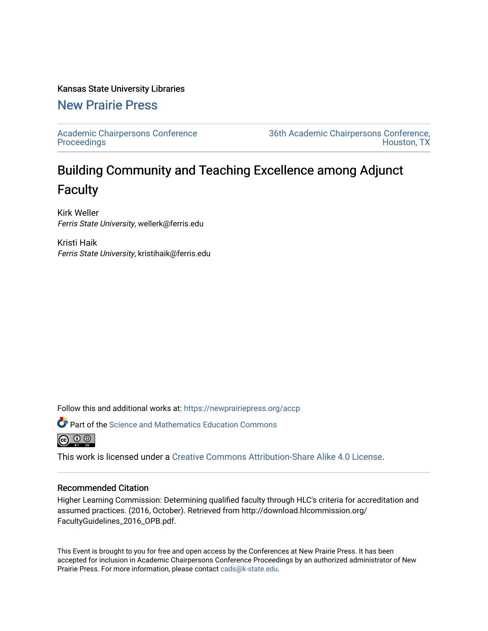#### Kansas State University Libraries

# [New Prairie Press](https://newprairiepress.org/)

[Academic Chairpersons Conference](https://newprairiepress.org/accp)  **Proceedings** 

[36th Academic Chairpersons Conference,](https://newprairiepress.org/accp/2019)  [Houston, TX](https://newprairiepress.org/accp/2019) 

# Building Community and Teaching Excellence among Adjunct **Faculty**

Kirk Weller Ferris State University, wellerk@ferris.edu

Kristi Haik Ferris State University, kristihaik@ferris.edu

Follow this and additional works at: [https://newprairiepress.org/accp](https://newprairiepress.org/accp?utm_source=newprairiepress.org%2Faccp%2F2019%2Fadvocacy%2F2&utm_medium=PDF&utm_campaign=PDFCoverPages) 



 $\bullet$  Part of the Science and Mathematics Education Commons



This work is licensed under a [Creative Commons Attribution-Share Alike 4.0 License.](https://creativecommons.org/licenses/by-sa/4.0/)

#### Recommended Citation

Higher Learning Commission: Determining qualified faculty through HLC's criteria for accreditation and assumed practices. (2016, October). Retrieved from http://download.hlcommission.org/ FacultyGuidelines\_2016\_OPB.pdf.

This Event is brought to you for free and open access by the Conferences at New Prairie Press. It has been accepted for inclusion in Academic Chairpersons Conference Proceedings by an authorized administrator of New Prairie Press. For more information, please contact [cads@k-state.edu.](mailto:cads@k-state.edu)